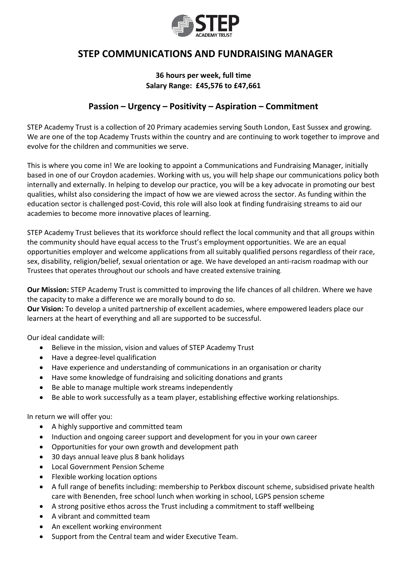

## **STEP COMMUNICATIONS AND FUNDRAISING MANAGER**

## **36 hours per week, full time Salary Range: £45,576 to £47,661**

## **Passion – Urgency – Positivity – Aspiration – Commitment**

STEP Academy Trust is a collection of 20 Primary academies serving South London, East Sussex and growing. We are one of the top Academy Trusts within the country and are continuing to work together to improve and evolve for the children and communities we serve.

This is where you come in! We are looking to appoint a Communications and Fundraising Manager, initially based in one of our Croydon academies. Working with us, you will help shape our communications policy both internally and externally. In helping to develop our practice, you will be a key advocate in promoting our best qualities, whilst also considering the impact of how we are viewed across the sector. As funding within the education sector is challenged post-Covid, this role will also look at finding fundraising streams to aid our academies to become more innovative places of learning.

STEP Academy Trust believes that its workforce should reflect the local community and that all groups within the community should have equal access to the Trust's employment opportunities. We are an equal opportunities employer and welcome applications from all suitably qualified persons regardless of their race, sex, disability, religion/belief, sexual orientation or age. We have developed an anti-racism roadmap with our Trustees that operates throughout our schools and have created extensive training.

**Our Mission:** STEP Academy Trust is committed to improving the life chances of all children. Where we have the capacity to make a difference we are morally bound to do so.

**Our Vision:** To develop a united partnership of excellent academies, where empowered leaders place our learners at the heart of everything and all are supported to be successful.

Our ideal candidate will:

- Believe in the mission, vision and values of STEP Academy Trust
- Have a degree-level qualification
- Have experience and understanding of communications in an organisation or charity
- Have some knowledge of fundraising and soliciting donations and grants
- Be able to manage multiple work streams independently
- Be able to work successfully as a team player, establishing effective working relationships.

In return we will offer you:

- A highly supportive and committed team
- Induction and ongoing career support and development for you in your own career
- Opportunities for your own growth and development path
- 30 days annual leave plus 8 bank holidays
- Local Government Pension Scheme
- Flexible working location options
- A full range of benefits including: membership to Perkbox discount scheme, subsidised private health care with Benenden, free school lunch when working in school, LGPS pension scheme
- A strong positive ethos across the Trust including a commitment to staff wellbeing
- A vibrant and committed team
- An excellent working environment
- Support from the Central team and wider Executive Team.